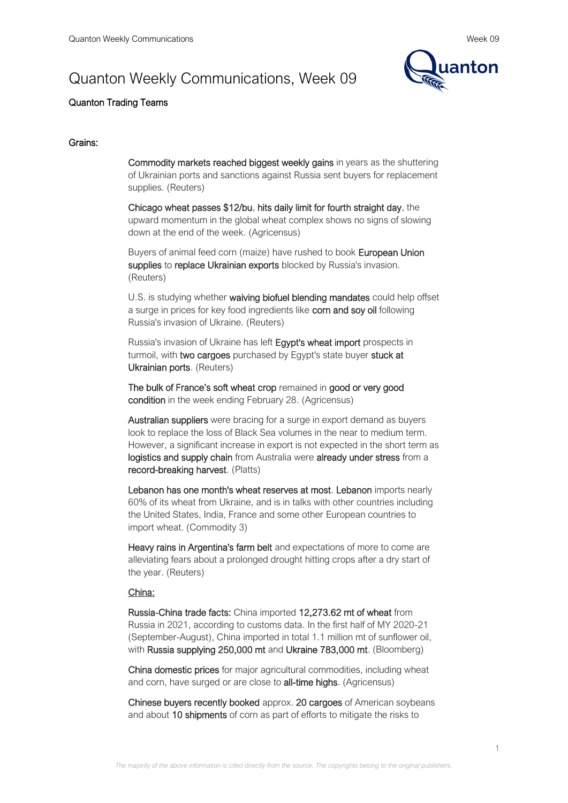# Quanton Weekly Communications, Week 09



# Quanton Trading Teams

#### Grains:

Commodity markets reached biggest weekly gains in years as the shuttering of Ukrainian ports and sanctions against Russia sent buyers for replacement supplies. (Reuters)

Chicago wheat passes \$12/bu, hits daily limit for fourth straight day, the upward momentum in the global wheat complex shows no signs of slowing down at the end of the week. (Agricensus)

Buyers of animal feed corn (maize) have rushed to book European Union supplies to replace Ukrainian exports blocked by Russia's invasion. (Reuters)

U.S. is studying whether waiving biofuel blending mandates could help offset a surge in prices for key food ingredients like corn and soy oil following Russia's invasion of Ukraine. (Reuters)

Russia's invasion of Ukraine has left Egypt's wheat import prospects in turmoil, with two cargoes purchased by Egypt's state buyer stuck at Ukrainian ports. (Reuters)

The bulk of France's soft wheat crop remained in good or very good condition in the week ending February 28. (Agricensus)

Australian suppliers were bracing for a surge in export demand as buyers look to replace the loss of Black Sea volumes in the near to medium term. However, a significant increase in export is not expected in the short term as logistics and supply chain from Australia were already under stress from a record-breaking harvest. (Platts)

Lebanon has one month's wheat reserves at most. Lebanon imports nearly 60% of its wheat from Ukraine, and is in talks with other countries including the United States, India, France and some other European countries to import wheat. (Commodity 3)

Heavy rains in Argentina's farm belt and expectations of more to come are alleviating fears about a prolonged drought hitting crops after a dry start of the year. (Reuters)

# China:

Russia-China trade facts: China imported 12,273.62 mt of wheat from Russia in 2021, according to customs data. In the first half of MY 2020-21 (September-August), China imported in total 1.1 million mt of sunflower oil, with Russia supplying 250,000 mt and Ukraine 783,000 mt. (Bloomberg)

China domestic prices for major agricultural commodities, including wheat and corn, have surged or are close to all-time highs. (Agricensus)

Chinese buyers recently booked approx. 20 cargoes of American soybeans and about 10 shipments of corn as part of efforts to mitigate the risks to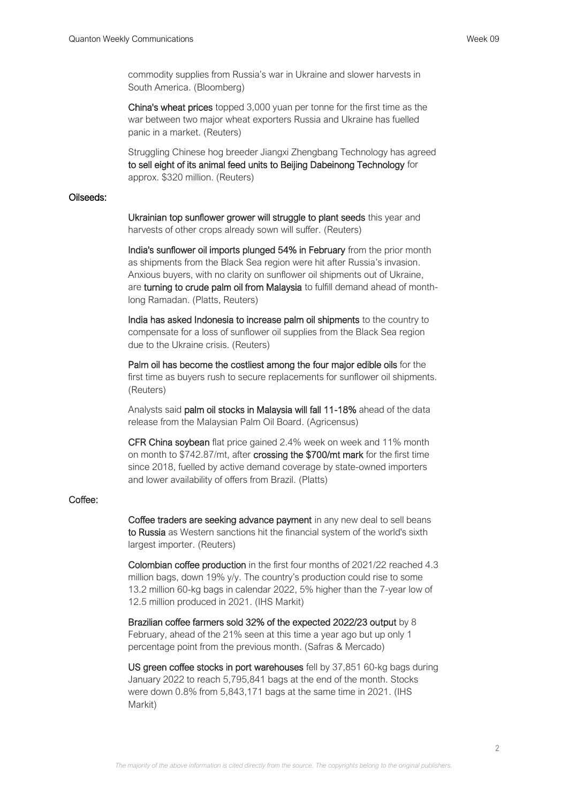commodity supplies from Russia's war in Ukraine and slower harvests in South America. (Bloomberg)

China's wheat prices topped 3,000 yuan per tonne for the first time as the war between two major wheat exporters Russia and Ukraine has fuelled panic in a market. (Reuters)

Struggling Chinese hog breeder Jiangxi Zhengbang Technology has agreed to sell eight of its animal feed units to Beijing Dabeinong Technology for approx. \$320 million. (Reuters)

#### Oilseeds:

Ukrainian top sunflower grower will struggle to plant seeds this year and harvests of other crops already sown will suffer. (Reuters)

India's sunflower oil imports plunged 54% in February from the prior month as shipments from the Black Sea region were hit after Russia's invasion. Anxious buyers, with no clarity on sunflower oil shipments out of Ukraine, are turning to crude palm oil from Malaysia to fulfill demand ahead of monthlong Ramadan. (Platts, Reuters)

India has asked Indonesia to increase palm oil shipments to the country to compensate for a loss of sunflower oil supplies from the Black Sea region due to the Ukraine crisis. (Reuters)

Palm oil has become the costliest among the four major edible oils for the first time as buyers rush to secure replacements for sunflower oil shipments. (Reuters)

Analysts said palm oil stocks in Malaysia will fall 11-18% ahead of the data release from the Malaysian Palm Oil Board. (Agricensus)

CFR China soybean flat price gained 2.4% week on week and 11% month on month to \$742.87/mt, after crossing the \$700/mt mark for the first time since 2018, fuelled by active demand coverage by state-owned importers and lower availability of offers from Brazil. (Platts)

# Coffee:

Coffee traders are seeking advance payment in any new deal to sell beans to Russia as Western sanctions hit the financial system of the world's sixth largest importer. (Reuters)

Colombian coffee production in the first four months of 2021/22 reached 4.3 million bags, down 19% y/y. The country's production could rise to some 13.2 million 60-kg bags in calendar 2022, 5% higher than the 7-year low of 12.5 million produced in 2021. (IHS Markit)

Brazilian coffee farmers sold 32% of the expected 2022/23 output by 8 February, ahead of the 21% seen at this time a year ago but up only 1 percentage point from the previous month. (Safras & Mercado)

US green coffee stocks in port warehouses fell by 37,851 60-kg bags during January 2022 to reach 5,795,841 bags at the end of the month. Stocks were down 0.8% from 5,843,171 bags at the same time in 2021. (IHS Markit)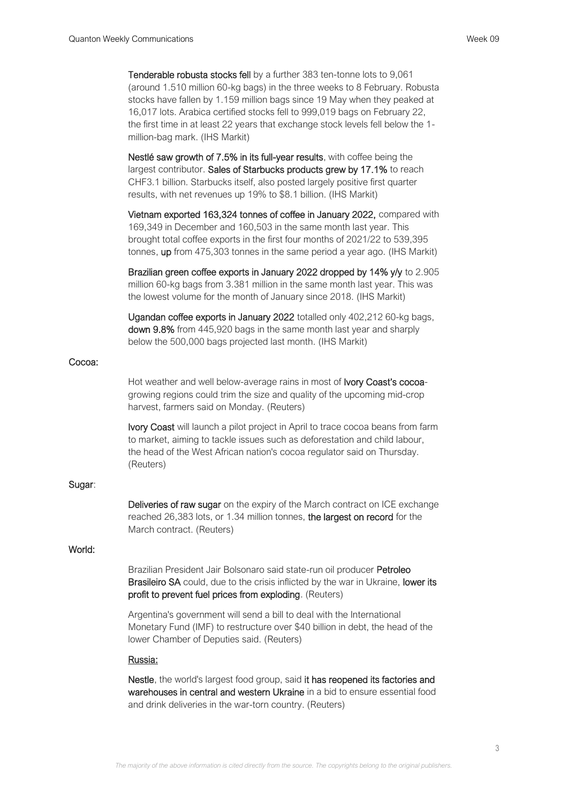Tenderable robusta stocks fell by a further 383 ten-tonne lots to 9,061 (around 1.510 million 60-kg bags) in the three weeks to 8 February. Robusta stocks have fallen by 1.159 million bags since 19 May when they peaked at 16,017 lots. Arabica certified stocks fell to 999,019 bags on February 22, the first time in at least 22 years that exchange stock levels fell below the 1 million-bag mark. (IHS Markit)

Nestlé saw growth of 7.5% in its full-year results, with coffee being the largest contributor. Sales of Starbucks products grew by 17.1% to reach CHF3.1 billion. Starbucks itself, also posted largely positive first quarter results, with net revenues up 19% to \$8.1 billion. (IHS Markit)

Vietnam exported 163,324 tonnes of coffee in January 2022, compared with 169,349 in December and 160,503 in the same month last year. This brought total coffee exports in the first four months of 2021/22 to 539,395 tonnes, up from 475,303 tonnes in the same period a year ago. (IHS Markit)

Brazilian green coffee exports in January 2022 dropped by 14% y/y to 2.905 million 60-kg bags from 3.381 million in the same month last year. This was the lowest volume for the month of January since 2018. (IHS Markit)

Ugandan coffee exports in January 2022 totalled only 402,212 60-kg bags, down 9.8% from 445,920 bags in the same month last year and sharply below the 500,000 bags projected last month. (IHS Markit)

#### Cocoa:

Hot weather and well below-average rains in most of **Ivory Coast's cocoa**growing regions could trim the size and quality of the upcoming mid-crop harvest, farmers said on Monday. (Reuters)

Ivory Coast will launch a pilot project in April to trace cocoa beans from farm to market, aiming to tackle issues such as deforestation and child labour, the head of the West African nation's cocoa regulator said on Thursday. (Reuters)

# Sugar:

Deliveries of raw sugar on the expiry of the March contract on ICE exchange reached 26,383 lots, or 1.34 million tonnes, the largest on record for the March contract. (Reuters)

# World:

Brazilian President Jair Bolsonaro said state-run oil producer Petroleo **Brasileiro SA** could, due to the crisis inflicted by the war in Ukraine, lower its profit to prevent fuel prices from exploding. (Reuters)

Argentina's government will send a bill to deal with the International Monetary Fund (IMF) to restructure over \$40 billion in debt, the head of the lower Chamber of Deputies said. (Reuters)

#### Russia:

Nestle, the world's largest food group, said it has reopened its factories and warehouses in central and western Ukraine in a bid to ensure essential food and drink deliveries in the war-torn country. (Reuters)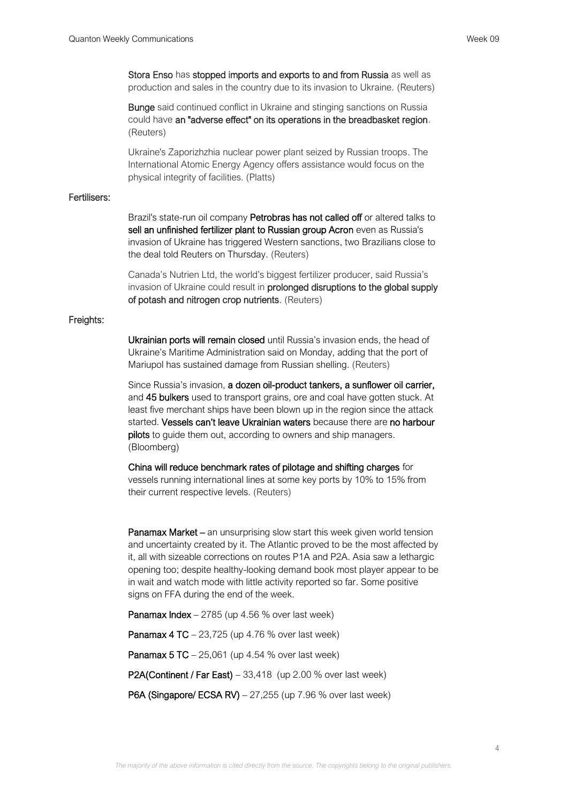Stora Enso has stopped imports and exports to and from Russia as well as production and sales in the country due to its invasion to Ukraine. (Reuters)

**Bunge** said continued conflict in Ukraine and stinging sanctions on Russia could have an "adverse effect" on its operations in the breadbasket region. (Reuters)

Ukraine's Zaporizhzhia nuclear power plant seized by Russian troops. The International Atomic Energy Agency offers assistance would focus on the physical integrity of facilities. (Platts)

# Fertilisers:

Brazil's state-run oil company Petrobras has not called off or altered talks to sell an unfinished fertilizer plant to Russian group Acron even as Russia's invasion of Ukraine has triggered Western sanctions, two Brazilians close to the deal told Reuters on Thursday. (Reuters)

Canada's Nutrien Ltd, the world's biggest fertilizer producer, said Russia's invasion of Ukraine could result in prolonged disruptions to the global supply of potash and nitrogen crop nutrients. (Reuters)

#### Freights:

Ukrainian ports will remain closed until Russia's invasion ends, the head of Ukraine's Maritime Administration said on Monday, adding that the port of Mariupol has sustained damage from Russian shelling. (Reuters)

Since Russia's invasion, a dozen oil-product tankers, a sunflower oil carrier, and 45 bulkers used to transport grains, ore and coal have gotten stuck. At least five merchant ships have been blown up in the region since the attack started. Vessels can't leave Ukrainian waters because there are no harbour pilots to guide them out, according to owners and ship managers. (Bloomberg)

China will reduce benchmark rates of pilotage and shifting charges for vessels running international lines at some key ports by 10% to 15% from their current respective levels. (Reuters)

Panamax Market – an unsurprising slow start this week given world tension and uncertainty created by it. The Atlantic proved to be the most affected by it, all with sizeable corrections on routes P1A and P2A. Asia saw a lethargic opening too; despite healthy-looking demand book most player appear to be in wait and watch mode with little activity reported so far. Some positive signs on FFA during the end of the week.

**Panamax Index**  $-2785$  (up 4.56 % over last week)

Panamax 4 TC – 23,725 (up 4.76 % over last week)

Panamax 5 TC – 25,061 (up 4.54 % over last week)

P2A(Continent / Far East) – 33,418 (up 2.00 % over last week)

P6A (Singapore/ ECSA RV) – 27,255 (up 7.96 % over last week)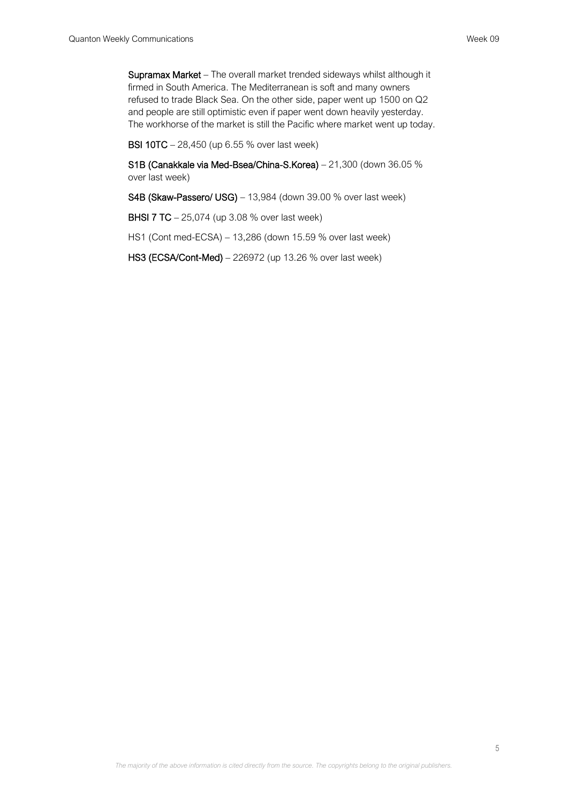Supramax Market – The overall market trended sideways whilst although it firmed in South America. The Mediterranean is soft and many owners refused to trade Black Sea. On the other side, paper went up 1500 on Q2 and people are still optimistic even if paper went down heavily yesterday. The workhorse of the market is still the Pacific where market went up today.

BSI 10TC – 28,450 (up 6.55 % over last week)

S1B (Canakkale via Med-Bsea/China-S.Korea) – 21,300 (down 36.05 % over last week)

S4B (Skaw-Passero/ USG) – 13,984 (down 39.00 % over last week)

**BHSI 7 TC** – 25,074 (up 3.08 % over last week)

HS1 (Cont med-ECSA) – 13,286 (down 15.59 % over last week)

HS3 (ECSA/Cont-Med) – 226972 (up 13.26 % over last week)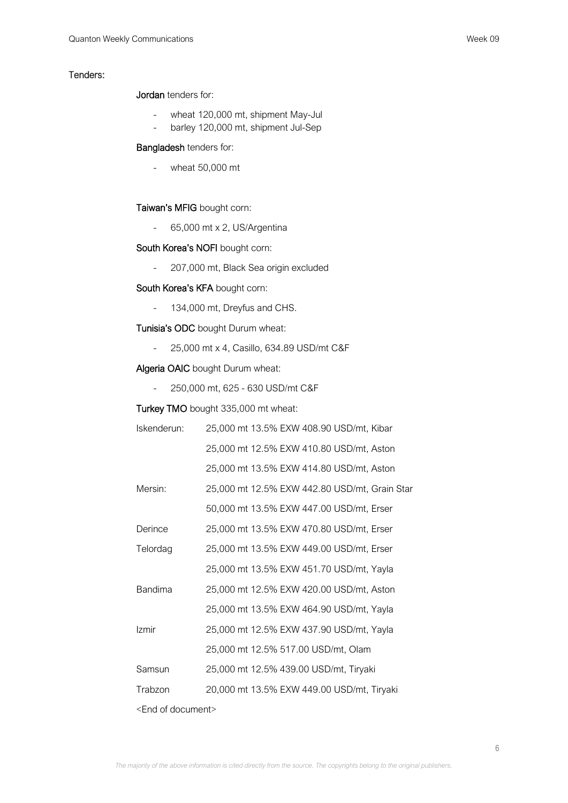#### Tenders:

Jordan tenders for:

- wheat 120,000 mt, shipment May-Jul
- barley 120,000 mt, shipment Jul-Sep

#### Bangladesh tenders for:

- wheat 50,000 mt

# Taiwan's MFIG bought corn:

- 65,000 mt x 2, US/Argentina

# South Korea's NOFI bought corn:

- 207,000 mt, Black Sea origin excluded

# South Korea's KFA bought corn:

- 134,000 mt, Dreyfus and CHS.

# Tunisia's ODC bought Durum wheat:

- 25,000 mt x 4, Casillo, 634.89 USD/mt C&F

# Algeria OAIC bought Durum wheat:

- 250,000 mt, 625 - 630 USD/mt C&F

# Turkey TMO bought 335,000 mt wheat:

| Iskenderun:                   | 25,000 mt 13.5% EXW 408.90 USD/mt, Kibar      |
|-------------------------------|-----------------------------------------------|
|                               | 25,000 mt 12.5% EXW 410.80 USD/mt, Aston      |
|                               | 25,000 mt 13.5% EXW 414.80 USD/mt, Aston      |
| Mersin:                       | 25,000 mt 12.5% EXW 442.80 USD/mt, Grain Star |
|                               | 50,000 mt 13.5% EXW 447.00 USD/mt, Erser      |
| Derince                       | 25,000 mt 13.5% EXW 470.80 USD/mt, Erser      |
| Telordag                      | 25,000 mt 13.5% EXW 449.00 USD/mt, Erser      |
|                               | 25,000 mt 13.5% EXW 451.70 USD/mt, Yayla      |
| <b>Bandima</b>                | 25,000 mt 12.5% EXW 420.00 USD/mt, Aston      |
|                               | 25,000 mt 13.5% EXW 464.90 USD/mt, Yayla      |
| Izmir                         | 25,000 mt 12.5% EXW 437.90 USD/mt, Yayla      |
|                               | 25,000 mt 12.5% 517.00 USD/mt, Olam           |
| Samsun                        | 25,000 mt 12.5% 439.00 USD/mt, Tiryaki        |
| Trabzon                       | 20,000 mt 13.5% EXW 449.00 USD/mt, Tiryaki    |
| <end document="" of=""></end> |                                               |